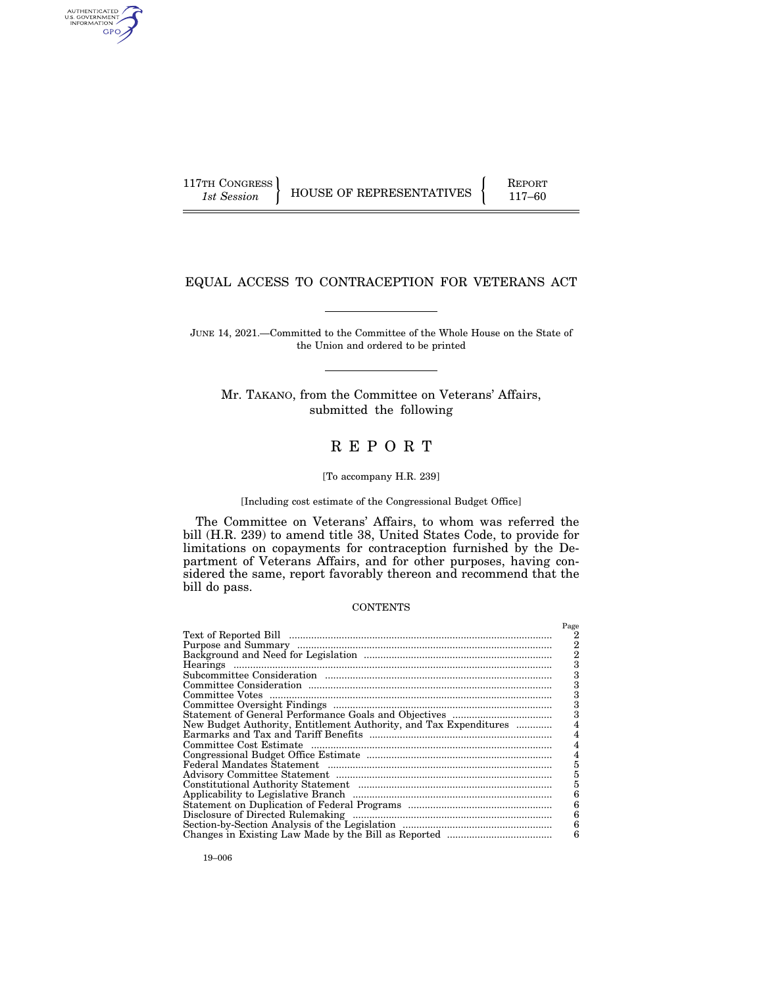AUTHENTICATED<br>U.S. GOVERNMENT<br>INFORMATION GPO

117TH CONGRESS HOUSE OF REPRESENTATIVES FEPORT 117–60

# EQUAL ACCESS TO CONTRACEPTION FOR VETERANS ACT

JUNE 14, 2021.—Committed to the Committee of the Whole House on the State of the Union and ordered to be printed

Mr. TAKANO, from the Committee on Veterans' Affairs, submitted the following

# R E P O R T

#### [To accompany H.R. 239]

# [Including cost estimate of the Congressional Budget Office]

The Committee on Veterans' Affairs, to whom was referred the bill (H.R. 239) to amend title 38, United States Code, to provide for limitations on copayments for contraception furnished by the Department of Veterans Affairs, and for other purposes, having considered the same, report favorably thereon and recommend that the bill do pass.

#### **CONTENTS**

|                                                                   | Page           |
|-------------------------------------------------------------------|----------------|
|                                                                   | 2              |
|                                                                   | 2              |
|                                                                   | $\overline{2}$ |
|                                                                   | 3              |
|                                                                   | 3              |
|                                                                   |                |
|                                                                   | 3              |
|                                                                   | 3              |
|                                                                   | 3              |
| New Budget Authority, Entitlement Authority, and Tax Expenditures |                |
|                                                                   |                |
|                                                                   |                |
|                                                                   |                |
|                                                                   | 5              |
|                                                                   | 5              |
|                                                                   | 5              |
|                                                                   | 6              |
|                                                                   | 6              |
|                                                                   | 6              |
|                                                                   | 6              |
|                                                                   | 6              |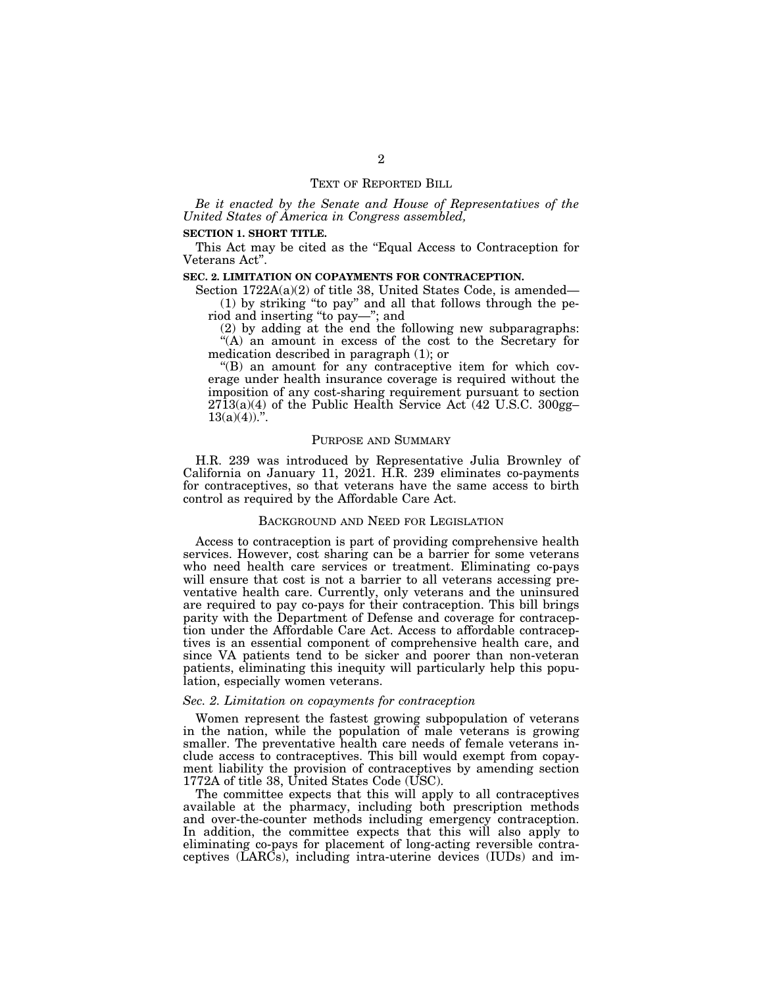# TEXT OF REPORTED BILL

*Be it enacted by the Senate and House of Representatives of the United States of America in Congress assembled,* 

# **SECTION 1. SHORT TITLE.**

This Act may be cited as the ''Equal Access to Contraception for Veterans Act''.

## **SEC. 2. LIMITATION ON COPAYMENTS FOR CONTRACEPTION.**

Section 1722A(a)(2) of title 38, United States Code, is amended— (1) by striking ''to pay'' and all that follows through the period and inserting ''to pay—''; and

(2) by adding at the end the following new subparagraphs: ''(A) an amount in excess of the cost to the Secretary for medication described in paragraph (1); or

''(B) an amount for any contraceptive item for which coverage under health insurance coverage is required without the imposition of any cost-sharing requirement pursuant to section 2713(a)(4) of the Public Health Service Act (42 U.S.C. 300gg–  $13(a)(4)$ .

#### PURPOSE AND SUMMARY

H.R. 239 was introduced by Representative Julia Brownley of California on January 11, 2021. H.R. 239 eliminates co-payments for contraceptives, so that veterans have the same access to birth control as required by the Affordable Care Act.

# BACKGROUND AND NEED FOR LEGISLATION

Access to contraception is part of providing comprehensive health services. However, cost sharing can be a barrier for some veterans who need health care services or treatment. Eliminating co-pays will ensure that cost is not a barrier to all veterans accessing preventative health care. Currently, only veterans and the uninsured are required to pay co-pays for their contraception. This bill brings parity with the Department of Defense and coverage for contraception under the Affordable Care Act. Access to affordable contraceptives is an essential component of comprehensive health care, and since VA patients tend to be sicker and poorer than non-veteran patients, eliminating this inequity will particularly help this population, especially women veterans.

## *Sec. 2. Limitation on copayments for contraception*

Women represent the fastest growing subpopulation of veterans in the nation, while the population of male veterans is growing smaller. The preventative health care needs of female veterans include access to contraceptives. This bill would exempt from copayment liability the provision of contraceptives by amending section 1772A of title 38, United States Code (USC).

The committee expects that this will apply to all contraceptives available at the pharmacy, including both prescription methods and over-the-counter methods including emergency contraception. In addition, the committee expects that this will also apply to eliminating co-pays for placement of long-acting reversible contraceptives  $(\overrightarrow{LARCs})$ , including intra-uterine devices  $(IUDs)$  and im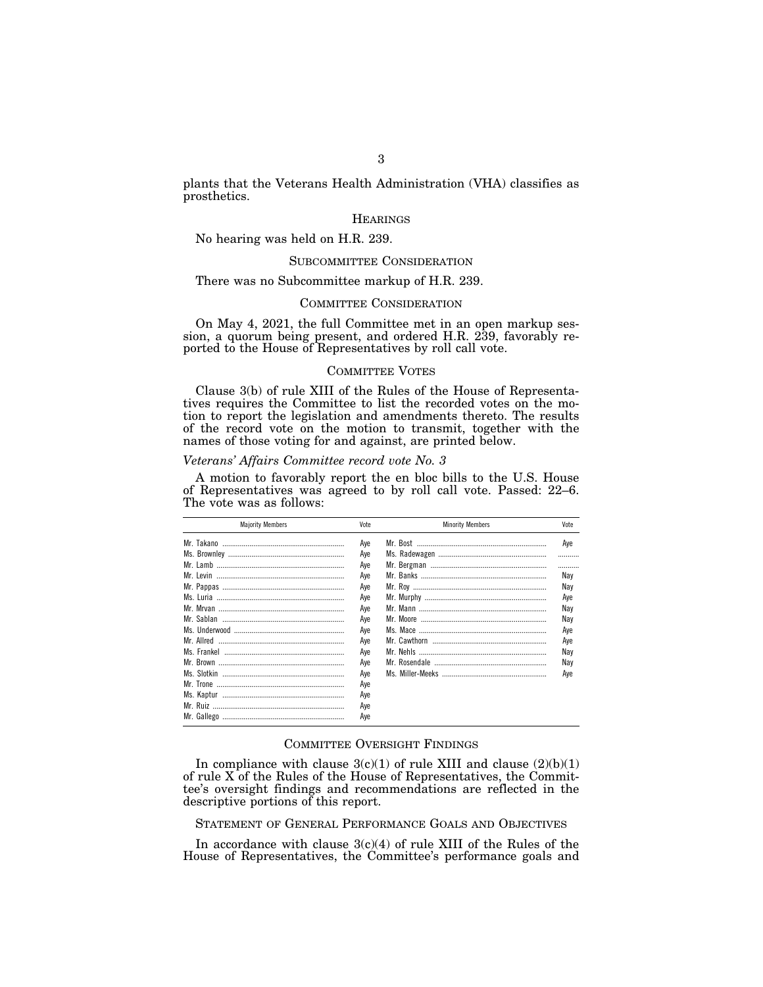plants that the Veterans Health Administration (VHA) classifies as prosthetics.

# **HEARINGS**

No hearing was held on H.R. 239.

# SUBCOMMITTEE CONSIDERATION

# There was no Subcommittee markup of H.R. 239.

## COMMITTEE CONSIDERATION

On May 4, 2021, the full Committee met in an open markup session, a quorum being present, and ordered H.R. 239, favorably reported to the House of Representatives by roll call vote.

# COMMITTEE VOTES

Clause 3(b) of rule XIII of the Rules of the House of Representatives requires the Committee to list the recorded votes on the motion to report the legislation and amendments thereto. The results of the record vote on the motion to transmit, together with the names of those voting for and against, are printed below.

# *Veterans' Affairs Committee record vote No. 3*

A motion to favorably report the en bloc bills to the U.S. House of Representatives was agreed to by roll call vote. Passed: 22–6. The vote was as follows:

| <b>Majority Members</b> | Vote | <b>Minority Members</b> | Vote |
|-------------------------|------|-------------------------|------|
|                         | Aye  |                         | Aye  |
|                         | Aye  |                         |      |
|                         | Ave  |                         |      |
| Mr. Levin               | Ave  |                         | Nav  |
|                         | Ave  |                         | Nav  |
|                         | Ave  |                         | Aye  |
|                         | Ave  |                         | Nay  |
|                         | Ave  |                         | Nay  |
|                         | Ave  |                         | Aye  |
|                         | Aye  |                         | Aye  |
|                         | Ave  |                         | Nay  |
|                         | Ave  |                         | Nay  |
|                         | Ave  |                         | Ave  |
|                         | Ave  |                         |      |
|                         | Ave  |                         |      |
|                         | Aye  |                         |      |
|                         | Aye  |                         |      |

# COMMITTEE OVERSIGHT FINDINGS

In compliance with clause  $3(c)(1)$  of rule XIII and clause  $(2)(b)(1)$ of rule X of the Rules of the House of Representatives, the Committee's oversight findings and recommendations are reflected in the descriptive portions of this report.

STATEMENT OF GENERAL PERFORMANCE GOALS AND OBJECTIVES

In accordance with clause  $3(c)(4)$  of rule XIII of the Rules of the House of Representatives, the Committee's performance goals and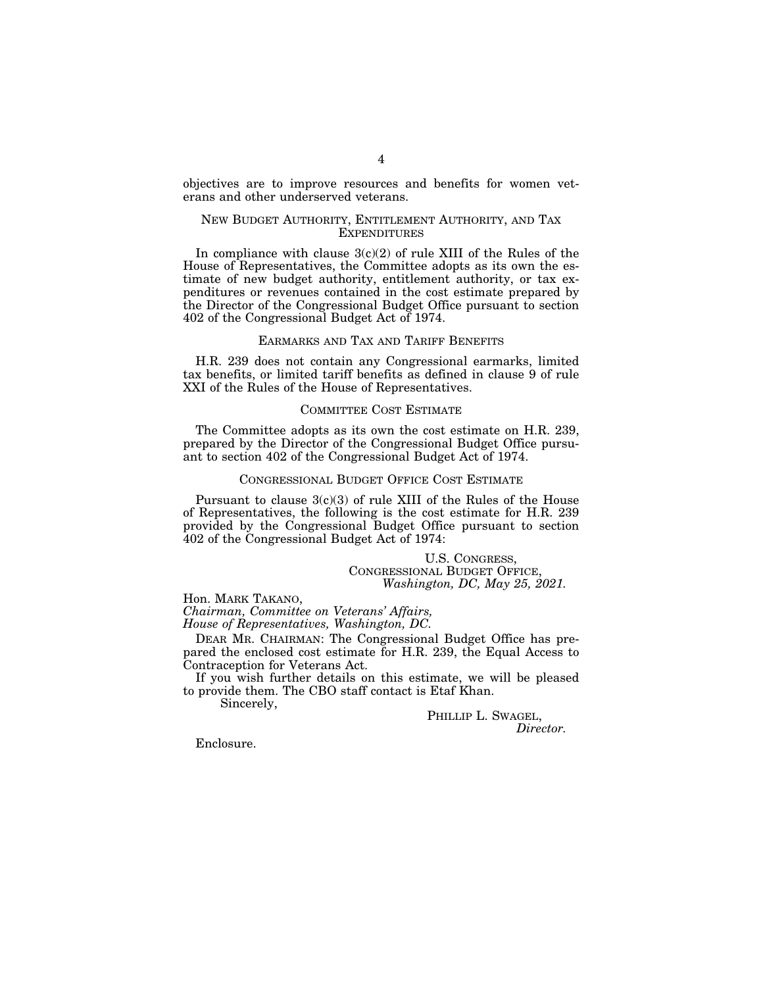objectives are to improve resources and benefits for women veterans and other underserved veterans.

# NEW BUDGET AUTHORITY, ENTITLEMENT AUTHORITY, AND TAX **EXPENDITURES**

In compliance with clause  $3(c)(2)$  of rule XIII of the Rules of the House of Representatives, the Committee adopts as its own the estimate of new budget authority, entitlement authority, or tax expenditures or revenues contained in the cost estimate prepared by the Director of the Congressional Budget Office pursuant to section 402 of the Congressional Budget Act of 1974.

## EARMARKS AND TAX AND TARIFF BENEFITS

H.R. 239 does not contain any Congressional earmarks, limited tax benefits, or limited tariff benefits as defined in clause 9 of rule XXI of the Rules of the House of Representatives.

## COMMITTEE COST ESTIMATE

The Committee adopts as its own the cost estimate on H.R. 239, prepared by the Director of the Congressional Budget Office pursuant to section 402 of the Congressional Budget Act of 1974.

## CONGRESSIONAL BUDGET OFFICE COST ESTIMATE

Pursuant to clause  $3(c)(3)$  of rule XIII of the Rules of the House of Representatives, the following is the cost estimate for H.R. 239 provided by the Congressional Budget Office pursuant to section 402 of the Congressional Budget Act of 1974:

U.S. CONGRESS, CONGRESSIONAL BUDGET OFFICE, *Washington, DC, May 25, 2021.* 

Hon. MARK TAKANO, *Chairman, Committee on Veterans' Affairs,* 

*House of Representatives, Washington, DC.* 

DEAR MR. CHAIRMAN: The Congressional Budget Office has prepared the enclosed cost estimate for H.R. 239, the Equal Access to Contraception for Veterans Act.

If you wish further details on this estimate, we will be pleased to provide them. The CBO staff contact is Etaf Khan.

Sincerely,

PHILLIP L. SWAGEL,<br>*Director*.

Enclosure.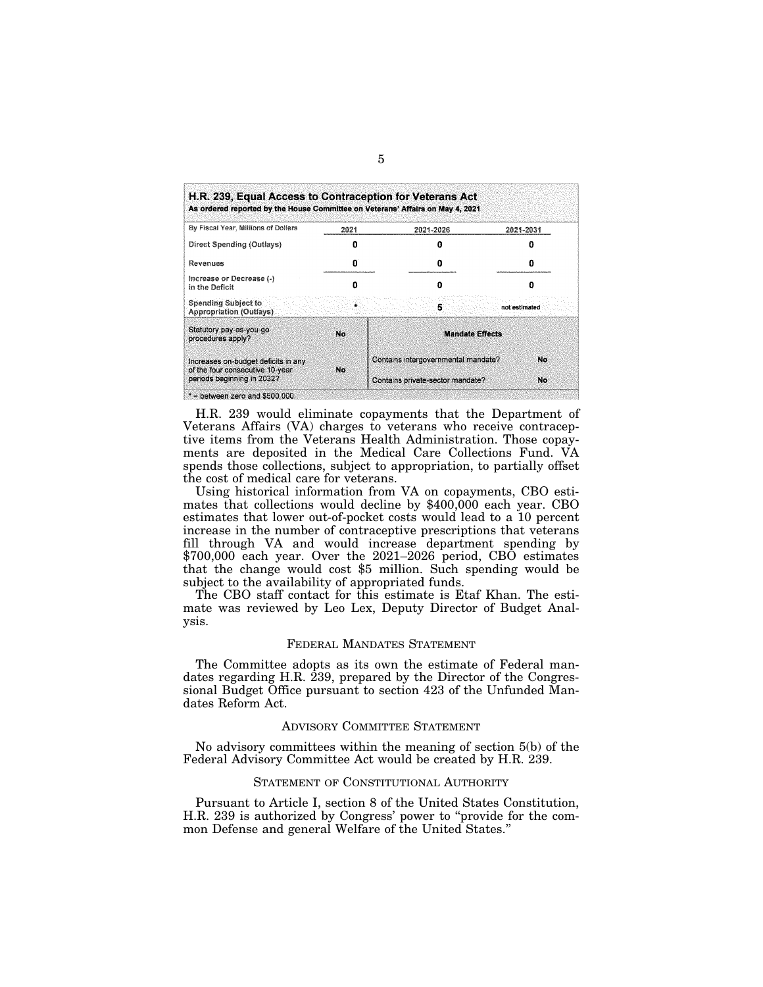| By Fiscal Year, Millions of Dollars                                                                  | 2021 | 2021-2026                           | 2021-2031     |
|------------------------------------------------------------------------------------------------------|------|-------------------------------------|---------------|
| Direct Spending (Outlays)                                                                            |      |                                     |               |
| Revenues                                                                                             |      |                                     |               |
| Increase or Decrease (-)<br>in the Deficit                                                           |      |                                     |               |
| <b>Spending Subject to</b><br>Appropriation (Outlays).                                               |      | 5                                   | not estimated |
| Statutory pay-as-you-go<br>procedures apply?                                                         | No   | <b>Mandate Effects</b>              |               |
| Increases on-budget deficits in any<br>of the four consecutive 10-year<br>periods beginning in 2032? |      | Contains intergovernmental mandate? | No            |
|                                                                                                      | No.  | Contains private-sector mandate?    | No            |

 $*$  = between zero and \$500,000.

H.R. 239 would eliminate copayments that the Department of Veterans Affairs (VA) charges to veterans who receive contraceptive items from the Veterans Health Administration. Those copayments are deposited in the Medical Care Collections Fund. VA spends those collections, subject to appropriation, to partially offset the cost of medical care for veterans.

Using historical information from VA on copayments, CBO estimates that collections would decline by \$400,000 each year. CBO estimates that lower out-of-pocket costs would lead to a 10 percent increase in the number of contraceptive prescriptions that veterans fill through VA and would increase department spending by \$700,000 each year. Over the 2021–2026 period, CBO estimates that the change would cost \$5 million. Such spending would be subject to the availability of appropriated funds.

The CBO staff contact for this estimate is Etaf Khan. The estimate was reviewed by Leo Lex, Deputy Director of Budget Analysis.

# FEDERAL MANDATES STATEMENT

The Committee adopts as its own the estimate of Federal mandates regarding H.R. 239, prepared by the Director of the Congressional Budget Office pursuant to section 423 of the Unfunded Mandates Reform Act.

# ADVISORY COMMITTEE STATEMENT

No advisory committees within the meaning of section 5(b) of the Federal Advisory Committee Act would be created by H.R. 239.

# STATEMENT OF CONSTITUTIONAL AUTHORITY

Pursuant to Article I, section 8 of the United States Constitution, H.R. 239 is authorized by Congress' power to ''provide for the common Defense and general Welfare of the United States.''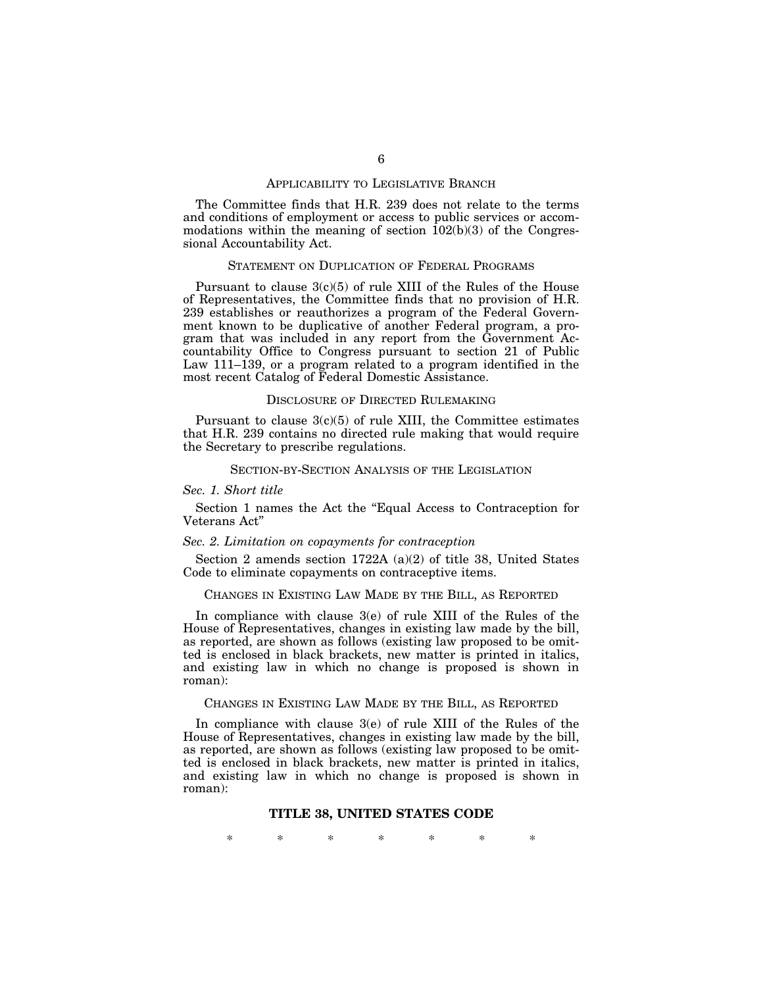# APPLICABILITY TO LEGISLATIVE BRANCH

The Committee finds that H.R. 239 does not relate to the terms and conditions of employment or access to public services or accommodations within the meaning of section  $102(b)(3)$  of the Congressional Accountability Act.

### STATEMENT ON DUPLICATION OF FEDERAL PROGRAMS

Pursuant to clause  $3(c)(5)$  of rule XIII of the Rules of the House of Representatives, the Committee finds that no provision of H.R. 239 establishes or reauthorizes a program of the Federal Government known to be duplicative of another Federal program, a program that was included in any report from the Government Accountability Office to Congress pursuant to section 21 of Public Law 111–139, or a program related to a program identified in the most recent Catalog of Federal Domestic Assistance.

#### DISCLOSURE OF DIRECTED RULEMAKING

Pursuant to clause  $3(c)(5)$  of rule XIII, the Committee estimates that H.R. 239 contains no directed rule making that would require the Secretary to prescribe regulations.

# SECTION-BY-SECTION ANALYSIS OF THE LEGISLATION

#### *Sec. 1. Short title*

Section 1 names the Act the ''Equal Access to Contraception for Veterans Act''

#### *Sec. 2. Limitation on copayments for contraception*

Section 2 amends section 1722A (a)(2) of title 38, United States Code to eliminate copayments on contraceptive items.

# CHANGES IN EXISTING LAW MADE BY THE BILL, AS REPORTED

In compliance with clause 3(e) of rule XIII of the Rules of the House of Representatives, changes in existing law made by the bill, as reported, are shown as follows (existing law proposed to be omitted is enclosed in black brackets, new matter is printed in italics, and existing law in which no change is proposed is shown in roman):

# CHANGES IN EXISTING LAW MADE BY THE BILL, AS REPORTED

In compliance with clause 3(e) of rule XIII of the Rules of the House of Representatives, changes in existing law made by the bill, as reported, are shown as follows (existing law proposed to be omitted is enclosed in black brackets, new matter is printed in italics, and existing law in which no change is proposed is shown in roman):

# **TITLE 38, UNITED STATES CODE**

\* \* \* \* \* \* \*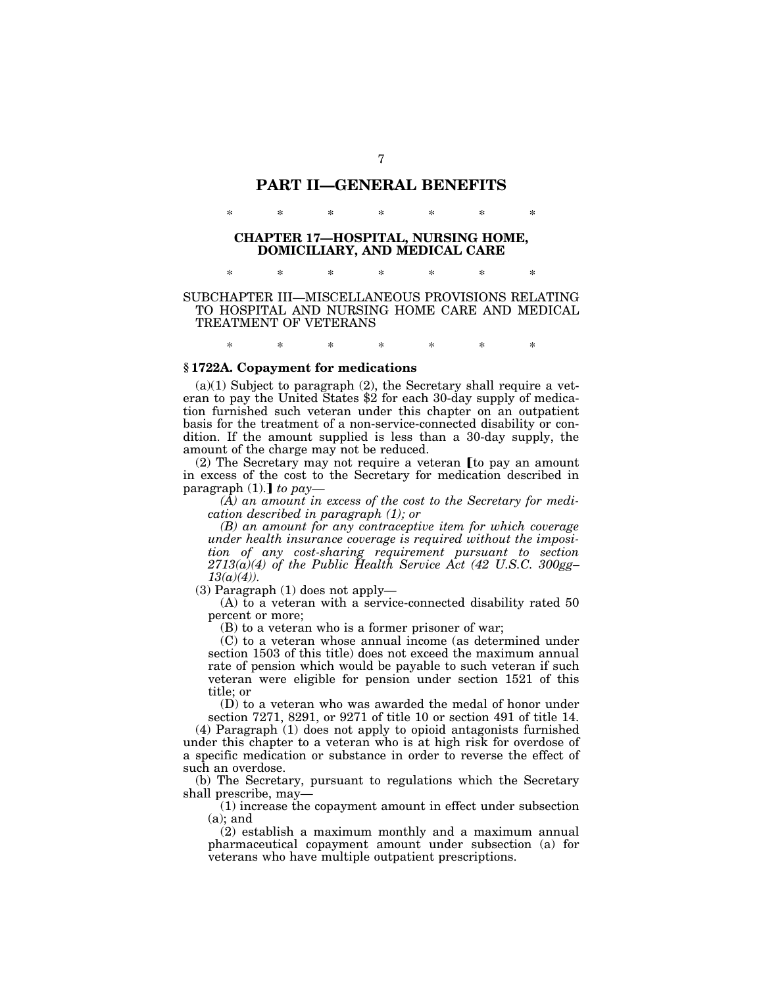# **PART II—GENERAL BENEFITS**

\* \* \* \* \* \* \*

# **CHAPTER 17—HOSPITAL, NURSING HOME, DOMICILIARY, AND MEDICAL CARE**

\* \* \* \* \* \* \*

# SUBCHAPTER III—MISCELLANEOUS PROVISIONS RELATING TO HOSPITAL AND NURSING HOME CARE AND MEDICAL TREATMENT OF VETERANS

\* \* \* \* \* \* \*

# **§ 1722A. Copayment for medications**

 $(a)(1)$  Subject to paragraph  $(2)$ , the Secretary shall require a veteran to pay the United States \$2 for each 30-day supply of medication furnished such veteran under this chapter on an outpatient basis for the treatment of a non-service-connected disability or condition. If the amount supplied is less than a 30-day supply, the amount of the charge may not be reduced.

 $(2)$  The Secretary may not require a veteran [to pay an amount in excess of the cost to the Secretary for medication described in paragraph  $(1)$ .  $\phi$  *to pay*—

*(A) an amount in excess of the cost to the Secretary for medication described in paragraph (1); or* 

*(B) an amount for any contraceptive item for which coverage under health insurance coverage is required without the imposition of any cost-sharing requirement pursuant to section 2713(a)(4) of the Public Health Service Act (42 U.S.C. 300gg– 13(a)(4)).* 

(3) Paragraph (1) does not apply—

(A) to a veteran with a service-connected disability rated 50 percent or more;

(B) to a veteran who is a former prisoner of war;

(C) to a veteran whose annual income (as determined under section 1503 of this title) does not exceed the maximum annual rate of pension which would be payable to such veteran if such veteran were eligible for pension under section 1521 of this title; or

(D) to a veteran who was awarded the medal of honor under section 7271, 8291, or 9271 of title 10 or section 491 of title 14.

(4) Paragraph (1) does not apply to opioid antagonists furnished under this chapter to a veteran who is at high risk for overdose of a specific medication or substance in order to reverse the effect of such an overdose.

(b) The Secretary, pursuant to regulations which the Secretary shall prescribe, may—

(1) increase the copayment amount in effect under subsection (a); and

(2) establish a maximum monthly and a maximum annual pharmaceutical copayment amount under subsection (a) for veterans who have multiple outpatient prescriptions.